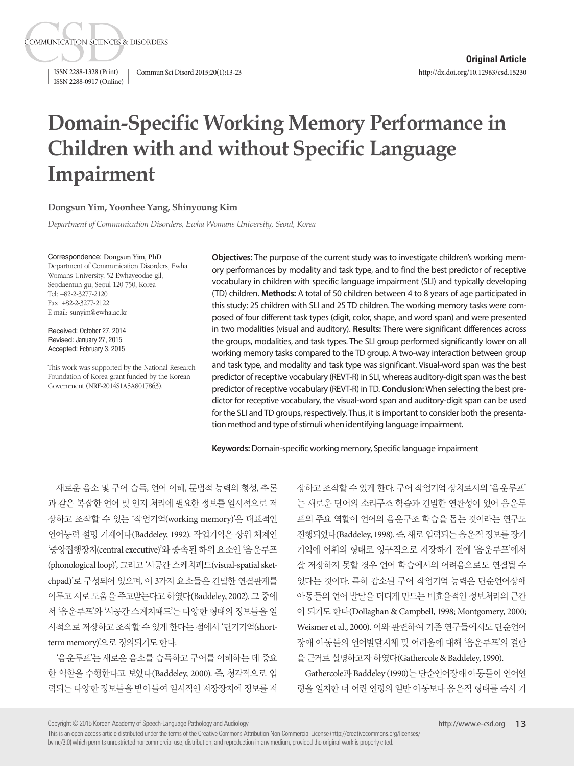ISSN 2288-0917 (Online)

**COMMUNICATION SCIENCES & DISORDERS** 

ISSN 2288-1328 (Print) Commun Sci Disord 2015;20(1):13-23

# **Domain-Specific Working Memory Performance in Children with and without Specific Language Impairment**

#### **Dongsun Yim, Yoonhee Yang, Shinyoung Kim**

*Department of Communication Disorders, Ewha Womans University, Seoul, Korea*

Correspondence: Dongsun Yim, PhD

Department of Communication Disorders, Ewha Womans University, 52 Ewhayeodae-gil, Seodaemun-gu, Seoul 120-750, Korea Tel: +82-2-3277-2120 Fax: +82-2-3277-2122 E-mail: sunyim@ewha.ac.kr

Received: October 27, 2014 Revised: January 27, 2015 Accepted: February 3, 2015

This work was supported by the National Research Foundation of Korea grant funded by the Korean Government (NRF-2014S1A5A8017863).

**Objectives:** The purpose of the current study was to investigate children's working memory performances by modality and task type, and to find the best predictor of receptive vocabulary in children with specific language impairment (SLI) and typically developing (TD) children. **Methods:** A total of 50 children between 4 to 8 years of age participated in this study: 25 children with SLI and 25 TD children. The working memory tasks were composed of four different task types (digit, color, shape, and word span) and were presented in two modalities (visual and auditory). **Results:** There were significant differences across the groups, modalities, and task types. The SLI group performed significantly lower on all working memory tasks compared to the TD group. A two-way interaction between group and task type, and modality and task type was significant. Visual-word span was the best predictor of receptive vocabulary (REVT-R) in SLI, whereas auditory-digit span was the best predictor of receptive vocabulary (REVT-R) in TD. **Conclusion:** When selecting the best predictor for receptive vocabulary, the visual-word span and auditory-digit span can be used for the SLI and TD groups, respectively. Thus, it is important to consider both the presentation method and type of stimuli when identifying language impairment.

**Keywords:** Domain-specific working memory, Specific language impairment

새로운 음소 및 구어 습득, 언어 이해, 문법적 능력의 형성, 추론 과 같은 복잡한 언어 및 인지 처리에 필요한 정보를 일시적으로 저 장하고 조작할 수 있는 '작업기억(working memory)'은 대표적인 언어능력 설명 기제이다(Baddeley, 1992). 작업기억은 상위 체계인 '중앙집행장치(central executive)'와 종속된 하위 요소인 '음운루프 (phonological loop)', 그리고 '시공간 스케치패드(visual-spatial sketchpad)'로 구성되어 있으며, 이 3가지 요소들은 긴밀한 연결관계를 이루고서로 도움을 주고받는다고 하였다(Baddeley, 2002). 그 중에 서 '음운루프'와 '시공간 스케치패드'는 다양한 형태의 정보들을 일 시적으로 저장하고 조작할 수 있게 한다는 점에서 '단기기억(shortterm memory)'으로정의되기도한다.

'음운루프'는 새로운 음소를 습득하고 구어를 이해하는 데 중요 한 역할을 수행한다고 보았다(Baddeley, 2000). 즉, 청각적으로 입 력되는 다양한 정보들을 받아들여 일시적인 저장장치에 정보를 저

장하고 조작할 수 있게 한다. 구어 작업기억 장치로서의 '음운루프' 는 새로운 단어의 소리구조 학습과 긴밀한 연관성이 있어 음운루 프의 주요 역할이 언어의 음운구조 학습을 돕는 것이라는 연구도 진행되었다(Baddeley, 1998). 즉, 새로입력되는음운적정보를장기 기억에 어휘의 형태로 영구적으로 저장하기 전에 '음운루프'에서 잘 저장하지 못할 경우 언어 학습에서의 어려움으로도 연결될 수 있다는 것이다. 특히 감소된 구어 작업기억 능력은 단순언어장애 아동들의 언어 발달을 더디게 만드는 비효율적인 정보처리의 근간 이 되기도 한다(Dollaghan & Campbell, 1998; Montgomery, 2000; Weismer et al., 2000). 이와 관련하여 기존 연구들에서도 단순언어 장애 아동들의 언어발달지체 및 어려움에 대해 '음운루프'의 결함 을근거로설명하고자하였다(Gathercole & Baddeley, 1990).

Gathercole과 Baddeley (1990)는 단순언어장애 아동들이 언어연 령을 일치한 더 어린 연령의 일반 아동보다 음운적 형태를 즉시 기

Copyright © 2015 Korean Academy of Speech-Language Pathology and Audiology

This is an open-access article distributed under the terms of the Creative Commons Attribution Non-Commercial License (http://creativecommons.org/licenses/ by-nc/3.0) which permits unrestricted noncommercial use, distribution, and reproduction in any medium, provided the original work is properly cited.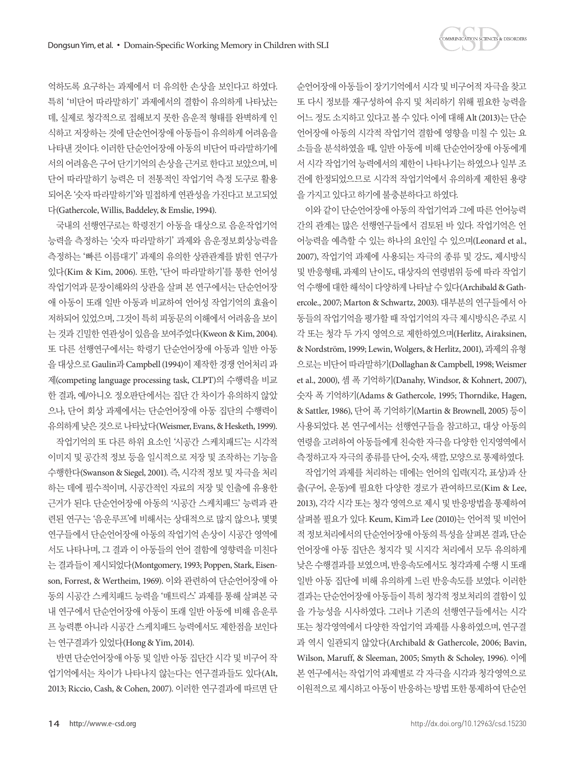

억하도록 요구하는 과제에서 더 유의한 손상을 보인다고 하였다. 특히 '비단어 따라말하기' 과제에서의 결함이 유의하게 나타났는 데, 실제로 청각적으로 접해보지 못한 음운적 형태를 완벽하게 인 식하고 저장하는 것에 단순언어장애 아동들이 유의하게 어려움을 나타낸 것이다. 이러한 단순언어장애 아동의 비단어 따라말하기에 서의어려움은구어단기기억의손상을근거로한다고보았으며, 비 단어 따라말하기 능력은 더 전통적인 작업기억 측정 도구로 활용 되어온 '숫자 따라말하기'와 밀접하게 연관성을 가진다고 보고되었 다(Gathercole, Willis, Baddeley, & Emslie, 1994).

국내의 선행연구로는 학령전기 아동을 대상으로 음운작업기억 능력을 측정하는 '숫자 따라말하기' 과제와 음운정보회상능력을 측정하는 '빠른 이름대기' 과제의 유의한 상관관계를 밝힌 연구가 있다(Kim & Kim, 2006). 또한, '단어 따라말하기'를 통한 언어성 작업기억과 문장이해와의 상관을 살펴 본 연구에서는 단순언어장 애 아동이 또래 일반 아동과 비교하여 언어성 작업기억의 효율이 저하되어 있었으며, 그것이 특히 피동문의 이해에서 어려움을 보이 는 것과 긴밀한 연관성이 있음을 보여주었다(Kweon & Kim, 2004). 또 다른 선행연구에서는 학령기 단순언어장애 아동과 일반 아동 을대상으로 Gaulin과 Campbell (1994)이제작한경쟁언어처리과 제(competing language processing task, CLPT)의 수행력을 비교 한 결과, 예/아니오 정오판단에서는 집단 간 차이가 유의하지 않았 으나, 단어 회상 과제에서는 단순언어장애 아동 집단의 수행력이 유의하게낮은것으로나타났다(Weismer, Evans, & Hesketh, 1999).

작업기억의 또 다른 하위 요소인 '시공간 스케치패드'는 시각적 이미지 및 공간적 정보 등을 일시적으로 저장 및 조작하는 기능을 수행한다(Swanson & Siegel, 2001). 즉, 시각적 정보 및 자극을 처리 하는 데에 필수적이며, 시공간적인 자료의 저장 및 인출에 유용한 근거가 된다. 단순언어장애 아동의 '시공간 스케치패드' 능력과 관 련된 연구는 '음운루프'에 비해서는 상대적으로 많지 않으나, 몇몇 연구들에서 단순언어장애 아동의 작업기억 손상이 시공간 영역에 서도 나타나며, 그 결과 이 아동들의 언어 결함에 영향력을 미친다 는 결과들이 제시되었다(Montgomery, 1993; Poppen, Stark, Eisenson, Forrest, & Wertheim, 1969). 이와 관련하여 단순언어장애 아 동의 시공간 스케치패드 능력을 '매트릭스' 과제를 통해 살펴본 국 내 연구에서 단순언어장애 아동이 또래 일반 아동에 비해 음운루 프 능력뿐 아니라 시공간 스케치패드 능력에서도 제한점을 보인다 는 연구결과가 있었다(Hong & Yim, 2014).

반면 단순언어장애 아동 및 일반 아동 집단간 시각 및 비구어 작 업기억에서는 차이가 나타나지 않는다는 연구결과들도 있다(Alt, 2013; Riccio, Cash, & Cohen, 2007). 이러한 연구결과에 따르면 단 순언어장애 아동들이 장기기억에서 시각 및 비구어적 자극을 찾고 또 다시 정보를 재구성하여 유지 및 처리하기 위해 필요한 능력을 어느 정도 소지하고 있다고 볼 수 있다. 이에 대해 Alt (2013)는 단순 언어장애 아동의 시각적 작업기억 결함에 영향을 미칠 수 있는 요 소들을 분석하였을 때, 일반 아동에 비해 단순언어장애 아동에게 서 시각 작업기억 능력에서의 제한이 나타나기는 하였으나 일부 조 건에 한정되었으므로 시각적 작업기억에서 유의하게 제한된 용량 을가지고있다고하기에불충분하다고하였다.

이와 같이 단순언어장애 아동의 작업기억과 그에 따른 언어능력 간의 관계는 많은 선행연구들에서 검토된 바 있다. 작업기억은 언 어능력을 예측할 수 있는 하나의 요인일 수 있으며(Leonard et al., 2007), 작업기억 과제에 사용되는 자극의 종류 및 강도, 제시방식 및 반응형태, 과제의 난이도, 대상자의 연령범위 등에 따라 작업기 억수행에대한해석이다양하게나타날수있다(Archibald & Gathercole., 2007; Marton & Schwartz, 2003). 대부분의 연구들에서 아 동들의 작업기억을 평가할 때 작업기억의 자극 제시방식은 주로 시 각 또는 청각 두 가지 영역으로 제한하였으며(Herlitz, Airaksinen, & Nordström, 1999; Lewin, Wolgers, & Herlitz, 2001), 과제의 유형 으로는비단어따라말하기(Dollaghan & Campbell, 1998; Weismer et al., 2000), 셈 폭 기억하기(Danahy, Windsor, & Kohnert, 2007), 숫자 폭 기억하기(Adams & Gathercole, 1995; Thorndike, Hagen, & Sattler, 1986), 단어 폭 기억하기(Martin & Brownell, 2005) 등이 사용되었다. 본 연구에서는 선행연구들을 참고하고, 대상 아동의 연령을 고려하여 아동들에게 친숙한 자극을 다양한 인지영역에서 측정하고자자극의종류를단어, 숫자, 색깔, 모양으로통제하였다.

작업기억 과제를 처리하는 데에는 언어의 입력(지각, 표상)과 산 출(구어, 운동)에 필요한 다양한 경로가 관여하므로(Kim & Lee, 2013), 각각 시각 또는 청각 영역으로 제시 및 반응방법을 통제하여 살펴볼 필요가 있다. Keum, Kim과 Lee (2010)는 언어적 및 비언어 적정보처리에서의단순언어장애아동의특성을살펴본결과, 단순 언어장애 아동 집단은 청지각 및 시지각 처리에서 모두 유의하게 낮은 수행결과를 보였으며, 반응속도에서도 청각과제 수행 시 또래 일반 아동 집단에 비해 유의하게 느린 반응속도를 보였다. 이러한 결과는 단순언어장애 아동들이 특히 청각적 정보처리의 결함이 있 을 가능성을 시사하였다. 그러나 기존의 선행연구들에서는 시각 또는 청각영역에서 다양한 작업기억 과제를 사용하였으며, 연구결 과 역시 일관되지 않았다(Archibald & Gathercole, 2006; Bavin, Wilson, Maruff, & Sleeman, 2005; Smyth & Scholey, 1996). 이에 본 연구에서는 작업기억 과제별로 각 자극을 시각과 청각영역으로 이원적으로제시하고아동이반응하는방법또한통제하여단순언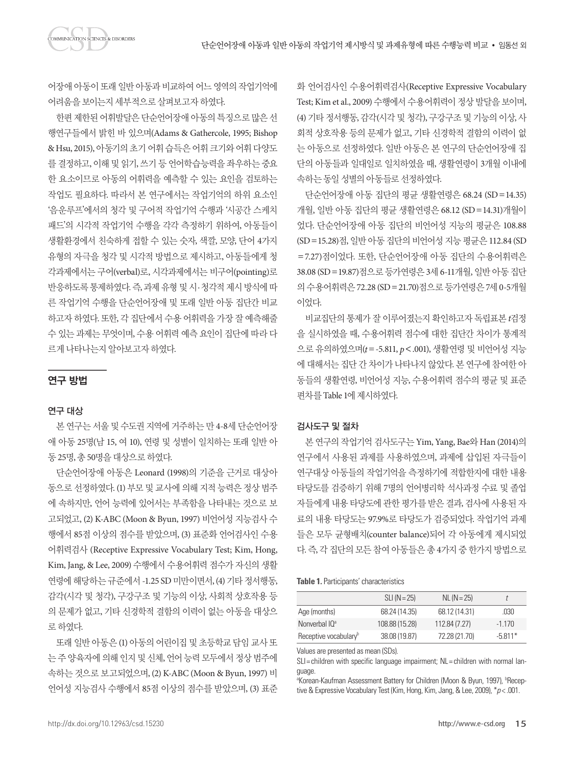어장애 아동이 또래 일반 아동과 비교하여 어느 영역의 작업기억에 어려움을보이는지세부적으로살펴보고자하였다.

한편 제한된 어휘발달은 단순언어장애 아동의 특징으로 많은 선 행연구들에서 밝힌 바 있으며(Adams & Gathercole, 1995; Bishop & Hsu, 2015), 아동기의 초기 어휘 습득은 어휘 크기와 어휘 다양도 를 결정하고, 이해 및 읽기, 쓰기 등 언어학습능력을 좌우하는 중요 한 요소이므로 아동의 어휘력을 예측할 수 있는 요인을 검토하는 작업도 필요하다. 따라서 본 연구에서는 작업기억의 하위 요소인 '음운루프'에서의 청각 및 구어적 작업기억 수행과 '시공간 스케치 패드'의 시각적 작업기억 수행을 각각 측정하기 위하여, 아동들이 생활환경에서 친숙하게 접할 수 있는 숫자, 색깔, 모양, 단어 4가지 유형의 자극을 청각 및 시각적 방법으로 제시하고, 아동들에게 청 각과제에서는 구어(verbal)로, 시각과제에서는 비구어(pointing)로 반응하도록 통제하였다. 즉, 과제 유형 및 시·청각적 제시 방식에 따 른 작업기억 수행을 단순언어장애 및 또래 일반 아동 집단간 비교 하고자 하였다. 또한, 각 집단에서 수용 어휘력을 가장 잘 예측해줄 수 있는 과제는 무엇이며, 수용 어휘력 예측 요인이 집단에 따라 다 르게나타나는지알아보고자하였다.

#### 연구 방법

#### 연구 대상

본 연구는 서울 및 수도권 지역에 거주하는 만 4-8세 단순언어장 애 아동 25명(남 15, 여 10), 연령 및 성별이 일치하는 또래 일반 아 동 25명, 총 50명을대상으로하였다.

단순언어장애 아동은 Leonard (1998)의 기준을 근거로 대상아 동으로 선정하였다. (1) 부모 및 교사에 의해 지적 능력은 정상 범주 에 속하지만, 언어 능력에 있어서는 부족함을 나타내는 것으로 보 고되었고, (2) K-ABC (Moon & Byun, 1997) 비언어성 지능검사 수 행에서 85점 이상의 점수를 받았으며, (3) 표준화 언어검사인 수용 어휘력검사 (Receptive Expressive Vocabulary Test; Kim, Hong, Kim, Jang, & Lee, 2009) 수행에서 수용어휘력 점수가 자신의 생활 연령에 해당하는 규준에서 -1.25 SD 미만이면서, (4) 기타 정서행동, 감각(시각 및 청각), 구강구조 및 기능의 이상, 사회적 상호작용 등 의 문제가 없고, 기타 신경학적 결함의 이력이 없는 아동을 대상으 로하였다.

또래 일반 아동은 (1) 아동의 어린이집 및 초등학교 담임 교사 또 는 주양육자에 의해 인지 및 신체, 언어 능력 모두에서 정상 범주에 속하는 것으로 보고되었으며, (2) K-ABC (Moon & Byun, 1997) 비 언어성 지능검사 수행에서 85점 이상의 점수를 받았으며, (3) 표준

화 언어검사인 수용어휘력검사(Receptive Expressive Vocabulary Test; Kim et al., 2009) 수행에서 수용어휘력이 정상 발달을 보이며, (4) 기타 정서행동, 감각(시각 및 청각), 구강구조 및 기능의 이상, 사 회적 상호작용 등의 문제가 없고, 기타 신경학적 결함의 이력이 없 는 아동으로 선정하였다. 일반 아동은 본 연구의 단순언어장애 집 단의 아동들과 일대일로 일치하였을 때, 생활연령이 3개월 이내에 속하는동일성별의아동들로선정하였다.

단순언어장애 아동 집단의 평균 생활연령은 68.24 (SD=14.35) 개월, 일반 아동 집단의 평균 생활연령은 68.12 (SD=14.31)개월이 었다. 단순언어장애 아동 집단의 비언어성 지능의 평균은 108.88 (SD=15.28)점, 일반 아동 집단의 비언어성 지능 평균은 112.84 (SD =7.27)점이었다. 또한, 단순언어장애 아동 집단의 수용어휘력은 38.08 (SD=19.87)점으로 등가연령은 3세 6-11개월, 일반 아동 집단 의수용어휘력은 72.28 (SD=21.70)점으로등가연령은 7세 0-5개월 이었다.

비교집단의 통제가 잘 이루어졌는지 확인하고자 독립표본 *t*검정 을 실시하였을 때, 수용어휘력 점수에 대한 집단간 차이가 통계적 으로 유의하였으며(*t*=-5.811, *p*<.001), 생활연령 및 비언어성 지능 에 대해서는 집단 간 차이가 나타나지 않았다. 본 연구에 참여한 아 동들의 생활연령, 비언어성 지능, 수용어휘력 점수의 평균 및 표준 편차를 Table 1에제시하였다.

#### 검사도구 및 절차

본 연구의 작업기억 검사도구는 Yim, Yang, Bae와 Han (2014)의 연구에서 사용된 과제를 사용하였으며, 과제에 삽입된 자극들이 연구대상 아동들의 작업기억을 측정하기에 적합한지에 대한 내용 타당도를 검증하기 위해 7명의 언어병리학 석사과정 수료 및 졸업 자들에게 내용 타당도에 관한 평가를 받은 결과, 검사에 사용된 자 료의 내용 타당도는 97.9%로 타당도가 검증되었다. 작업기억 과제 들은 모두 균형배치(counter balance)되어 각 아동에게 제시되었 다. 즉, 각 집단의 모든 참여 아동들은 총 4가지 중 한가지 방법으로

**Table 1.** Participants' characteristics

|                                   | $SLI(N=25)$    | $NL (N = 25)$ |           |
|-----------------------------------|----------------|---------------|-----------|
| Age (months)                      | 68.24 (14.35)  | 68.12 (14.31) | .030      |
| Nonverbal $10^a$                  | 108.88 (15.28) | 112.84 (7.27) | $-1.170$  |
| Receptive vocabulary <sup>b</sup> | 38.08 (19.87)  | 72.28 (21.70) | $-5.811*$ |
|                                   |                |               |           |

Values are presented as mean (SDs).

SLI= children with specific language impairment; NL= children with normal language.

<sup>a</sup>Korean-Kaufman Assessment Battery for Children (Moon & Byun, 1997), <sup>b</sup>Receptive & Expressive Vocabulary Test (Kim, Hong, Kim, Jang, & Lee, 2009), \**p* < .001.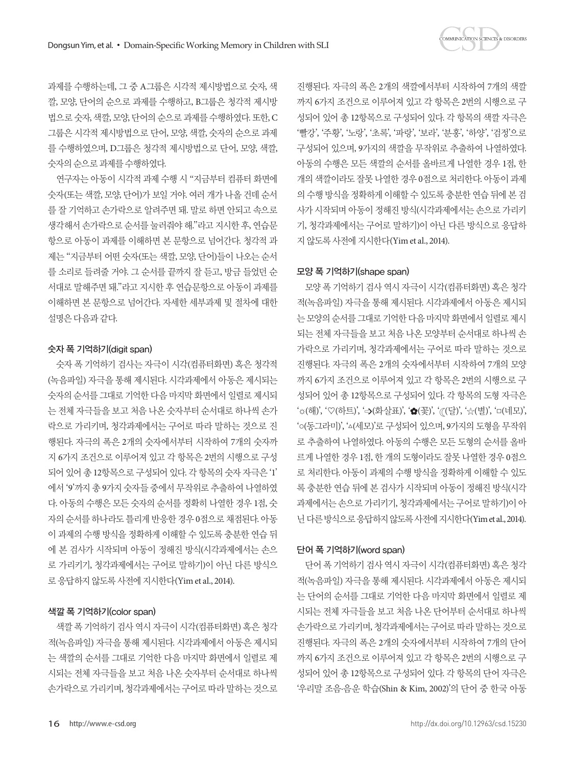과제를 수행하는데, 그 중 A그룹은 시각적 제시방법으로 숫자, 색 깔, 모양, 단어의 순으로 과제를 수행하고, B그룹은 청각적 제시방 법으로 숫자, 색깔, 모양, 단어의 순으로 과제를 수행하였다. 또한, C 그룹은 시각적 제시방법으로 단어, 모양, 색깔, 숫자의 순으로 과제 를 수행하였으며, D그룹은 청각적 제시방법으로 단어, 모양, 색깔, 숫자의순으로과제를수행하였다.

연구자는 아동이 시각적 과제 수행 시 "지금부터 컴퓨터 화면에 숫자(또는 색깔, 모양, 단어)가 보일 거야. 여러 개가 나올 건데 순서 를 잘 기억하고 손가락으로 알려주면 돼. 말로 하면 안되고 속으로 생각해서 손가락으로 순서를 눌러줘야 해."라고 지시한 후, 연습문 항으로 아동이 과제를 이해하면 본 문항으로 넘어간다. 청각적 과 제는 "지금부터 어떤 숫자(또는 색깔, 모양, 단어)들이 나오는 순서 를 소리로 들려줄 거야. 그 순서를 끝까지 잘 듣고, 방금 들었던 순 서대로 말해주면 돼."라고 지시한 후 연습문항으로 아동이 과제를 이해하면 본 문항으로 넘어간다. 자세한 세부과제 및 절차에 대한 설명은다음과같다.

#### 숫자 폭 기억하기(digit span)

숫자 폭 기억하기 검사는 자극이 시각(컴퓨터화면) 혹은 청각적 (녹음파일) 자극을 통해 제시된다. 시각과제에서 아동은 제시되는 숫자의 순서를 그대로 기억한 다음 마지막 화면에서 일렬로 제시되 는 전체 자극들을 보고 처음 나온 숫자부터 순서대로 하나씩 손가 락으로 가리키며, 청각과제에서는 구어로 따라 말하는 것으로 진 행된다. 자극의 폭은 2개의 숫자에서부터 시작하여 7개의 숫자까 지 6가지 조건으로 이루어져 있고 각 항목은 2번의 시행으로 구성 되어 있어 총 12항목으로 구성되어 있다. 각 항목의 숫자 자극은 '1' 에서 '9'까지 총 9가지 숫자들 중에서 무작위로 추출하여 나열하였 다. 아동의 수행은 모든 숫자의 순서를 정확히 나열한 경우 1점, 숫 자의 순서를 하나라도 틀리게 반응한 경우 0점으로 채점된다. 아동 이 과제의 수행 방식을 정확하게 이해할 수 있도록 충분한 연습 뒤 에 본 검사가 시작되며 아동이 정해진 방식(시각과제에서는 손으 로 가리키기, 청각과제에서는 구어로 말하기)이 아닌 다른 방식으 로 응답하지 않도록 사전에 지시한다(Yim et al., 2014).

#### 색깔 폭 기억하기(color span)

색깔 폭 기억하기 검사 역시 자극이 시각(컴퓨터화면) 혹은 청각 적(녹음파일) 자극을 통해 제시된다. 시각과제에서 아동은 제시되 는 색깔의 순서를 그대로 기억한 다음 마지막 화면에서 일렬로 제 시되는 전체 자극들을 보고 처음 나온 숫자부터 순서대로 하나씩 손가락으로 가리키며, 청각과제에서는 구어로 따라 말하는 것으로

진행된다. 자극의 폭은 2개의 색깔에서부터 시작하여 7개의 색깔 까지 6가지 조건으로 이루어져 있고 각 항목은 2번의 시행으로 구 성되어 있어 총 12항목으로 구성되어 있다. 각 항목의 색깔 자극은 '빨강', '주황', '노랑', '초록', '파랑', '보라', '분홍', '하양', '검정'으로 구성되어 있으며, 9가지의 색깔을 무작위로 추출하여 나열하였다. 아동의 수행은 모든 색깔의 순서를 올바르게 나열한 경우 1점, 한 개의 색깔이라도 잘못 나열한 경우 0점으로 처리한다. 아동이 과제 의 수행 방식을 정확하게 이해할 수 있도록 충분한 연습 뒤에 본 검 사가 시작되며 아동이 정해진 방식(시각과제에서는 손으로 가리키 기, 청각과제에서는 구어로 말하기)이 아닌 다른 방식으로 응답하 지않도록사전에지시한다(Yim et al., 2014).

#### 모양 폭 기억하기(shape span)

모양 폭 기억하기 검사 역시 자극이 시각(컴퓨터화면) 혹은 청각 적(녹음파일) 자극을 통해 제시된다. 시각과제에서 아동은 제시되 는 모양의 수서를 그대로 기억한 다음 마지막 화면에서 일렬로 제시 되는 전체 자극들을 보고 처음 나온 모양부터 순서대로 하나씩 손 가락으로 가리키며, 청각과제에서는 구어로 따라 말하는 것으로 진행된다. 자극의 폭은 2개의 숫자에서부터 시작하여 7개의 모양 까지 6가지 조건으로 이루어져 있고 각 항목은 2번의 시행으로 구 성되어 있어 총 12항목으로 구성되어 있다. 각 항목의 도형 자극은 '☆(해)', '♡(하트)', '->(화살표)', '◆(꽃)', ' $\pi$ (달)', '☆(별)', '□(네모)', '○(동그라미)', '△(세모)'로 구성되어 있으며, 9가지의 도형을 무작위 로 추출하여 나열하였다. 아동의 수행은 모든 도형의 순서를 올바 르게 나열한 경우 1점, 한 개의 도형이라도 잘못 나열한 경우 0점으 로 처리한다. 아동이 과제의 수행 방식을 정확하게 이해할 수 있도 록 충분한 연습 뒤에 본 검사가 시작되며 아동이 정해진 방식(시각 과제에서는 손으로 가리키기, 청각과제에서는 구어로 말하기)이 아 닌다른방식으로응답하지않도록사전에지시한다(Yim et al., 2014).

### 단어 폭 기억하기(word span)

단어 폭 기억하기 검사 역시 자극이 시각(컴퓨터화면) 혹은 청각 적(녹음파일) 자극을 통해 제시된다. 시각과제에서 아동은 제시되 는 단어의 순서를 그대로 기억한 다음 마지막 화면에서 일렬로 제 시되는 전체 자극들을 보고 처음 나온 단어부터 순서대로 하나씩 손가락으로 가리키며, 청각과제에서는 구어로 따라 말하는 것으로 진행된다. 자극의 폭은 2개의 숫자에서부터 시작하여 7개의 단어 까지 6가지 조건으로 이루어져 있고 각 항목은 2번의 시행으로 구 성되어 있어 총 12항목으로 구성되어 있다. 각 항목의 단어 자극은 '우리말 조음·음운 학습(Shin & Kim, 2002)'의 단어 중 한국 아동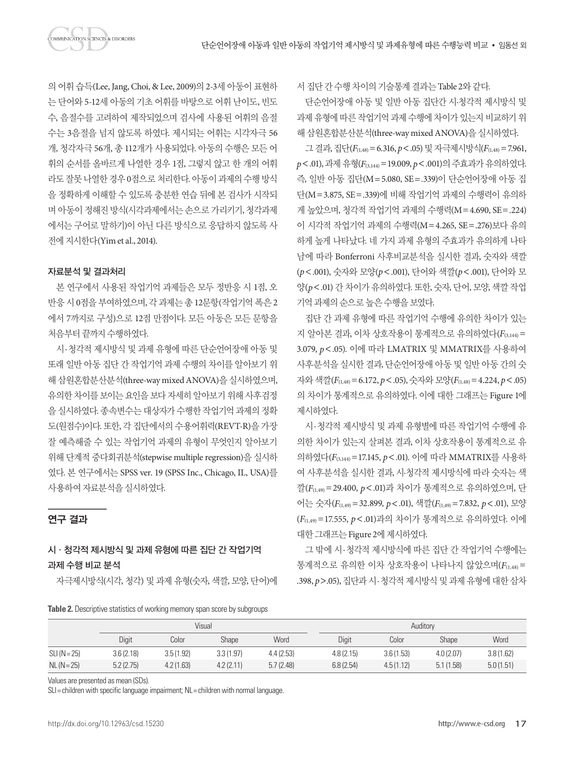의 어휘 습득(Lee, Jang, Choi, & Lee, 2009)의 2-3세 아동이 표현하 는 단어와 5-12세 아동의 기초 어휘를 바탕으로 어휘 난이도, 빈도 수, 음절수를 고려하여 제작되었으며 검사에 사용된 어휘의 음절 수는 3음절을 넘지 않도록 하였다. 제시되는 어휘는 시각자극 56 개, 청각자극 56개, 총 112개가 사용되었다. 아동의 수행은 모든 어 휘의 순서를 올바르게 나열한 경우 1점, 그렇지 않고 한 개의 어휘 라도잘못나열한경우 0점으로처리한다. 아동이과제의수행방식 을 정확하게 이해할 수 있도록 충분한 연습 뒤에 본 검사가 시작되 며 아동이 정해진 방식(시각과제에서는 손으로 가리키기, 청각과제 에서는 구어로 말하기)이 아닌 다른 방식으로 응답하지 않도록 사 전에지시한다(Yim et al., 2014).

#### 자료분석 및 결과처리

본 연구에서 사용된 작업기억 과제들은 모두 정반응 시 1점, 오 반응 시 0점을 부여하였으며, 각 과제는 총 12문항(작업기억 폭은 2 에서 7까지로 구성)으로 12점 만점이다. 모든 아동은 모든 문항을 처음부터 끝까지 수행하였다.

시·청각적 제시방식 및 과제 유형에 따른 단순언어장애 아동 및 또래 일반 아동 집단 간 작업기억 과제 수행의 차이를 알아보기 위 해삼원혼합분산분석(three-way mixed ANOVA)을실시하였으며, 유의한 차이를 보이는 요인을 보다 자세히 알아보기 위해 사후검정 을 실시하였다. 종속변수는 대상자가 수행한 작업기억 과제의 정확 도(원점수)이다. 또한, 각 집단에서의 수용어휘력(REVT-R)을 가장 잘 예측해줄 수 있는 작업기억 과제의 유형이 무엇인지 알아보기 위해 단계적 중다회귀분석(stepwise multiple regression)을 실시하 였다. 본 연구에서는 SPSS ver. 19 (SPSS Inc., Chicago, IL, USA)를 사용하여자료분석을실시하였다.

#### 연구 결과

## 시·청각적 제시방식 및 과제 유형에 따른 집단 간 작업기억 과제 수행 비교 분석

자극제시방식(시각, 청각) 및 과제 유형(숫자, 색깔, 모양, 단어)에

**Table 2.** Descriptive statistics of working memory span score by subgroups

서집단간수행차이의기술통계결과는 Table 2와같다.

단순언어장애 아동 및 일반 아동 집단간 시·청각적 제시방식 및 과제 유형에 따른 작업기억 과제 수행에 차이가 있는지 비교하기 위 해삼원혼합분산분석(three-way mixed ANOVA)을실시하였다.

그결과, 집단(*F*(1,48)=6.316, *p*<.05) 및자극제시방식(*F*(1,48)=7.961, *p*<.01), 과제유형(*F*(3,144)=19.009, *p*<.001)의주효과가유의하였다. 즉, 일반 아동 집단(M=5.080, SE=.339)이 단순언어장애 아동 집 단(M=3.875, SE=.339)에 비해 작업기억 과제의 수행력이 유의하 게 높았으며, 청각적 작업기억 과제의 수행력(M=4.690, SE=.224) 이 시각적 작업기억 과제의 수행력(M=4.265, SE=.276)보다 유의 하게 높게 나타났다. 네 가지 과제 유형의 주효과가 유의하게 나타 남에 따라 Bonferroni 사후비교분석을 실시한 결과, 숫자와 색깔 (*p*<.001), 숫자와 모양(*p*<.001), 단어와 색깔(*p*<.001), 단어와 모 양(*p*<.01) 간 차이가 유의하였다. 또한, 숫자, 단어, 모양, 색깔 작업 기억과제의순으로높은수행을보였다.

집단 간 과제 유형에 따른 작업기억 수행에 유의한 차이가 있는 지 알아본 결과, 이차 상호작용이 통계적으로 유의하였다(*F*(3,144)= 3.079, *p*<.05). 이에 따라 LMATRIX 및 MMATRIX를 사용하여 사후분석을 실시한 결과, 단순언어장애 아동 및 일반 아동 간의 숫 자와 색깔(*F*(1,48)=6.172, *p*<.05), 숫자와 모양(*F*(1,48)=4.224, *p*<.05) 의 차이가 통계적으로 유의하였다. 이에 대한 그래프는 Figure 1에 제시하였다.

시·청각적 제시방식 및 과제 유형별에 따른 작업기억 수행에 유 의한 차이가 있는지 살펴본 결과, 이차 상호작용이 통계적으로 유 의하였다(*F*(3,144)=17.145, *p*<.01). 이에 따라 MMATRIX를 사용하 여 사후분석을 실시한 결과, 시·청각적 제시방식에 따라 숫자는 색 깔(*F*(1,49)=29.400, *p*<.01)과 차이가 통계적으로 유의하였으며, 단 어는 숫자(*F*(1,49)=32.899, *p*<.01), 색깔(*F*(1,49)=7.832, *p*<.01), 모양 (*F*(1,49) =17.555, *p*<.01)과의 차이가 통계적으로 유의하였다. 이에 대한그래프는 Figure 2에제시하였다.

그 밖에 시·청각적 제시방식에 따른 집단 간 작업기억 수행에는 통계적으로 유의한 이차 상호작용이 나타나지 않았으며(*F*(1,48) = .398, *p*>.05), 집단과 시·청각적 제시방식 및 과제 유형에 대한 삼차

|                | Visual    |           |           |           | Auditory  |           |              |           |
|----------------|-----------|-----------|-----------|-----------|-----------|-----------|--------------|-----------|
|                | Digit     | Color     | Shape     | Word      | Digit     | Color     | <b>Shape</b> | Word      |
| $SLI (N = 25)$ | 3.6(2.18) | 3.5(1.92) | 3.3(1.97) | 4.4(2.53) | 4.8(2.15) | 3.6(1.53) | 4.0(2.07)    | 3.8(1.62) |
| $NL (N = 25)$  | 5.2(2.75) | 4.2(1.63) | 4.2(2.11) | 5.7(2.48) | 6.8(2.54) | 4.5(1.12) | 5.1(1.58)    | 5.0(1.51) |

Values are presented as mean (SDs).

SLI= children with specific language impairment; NL= children with normal language.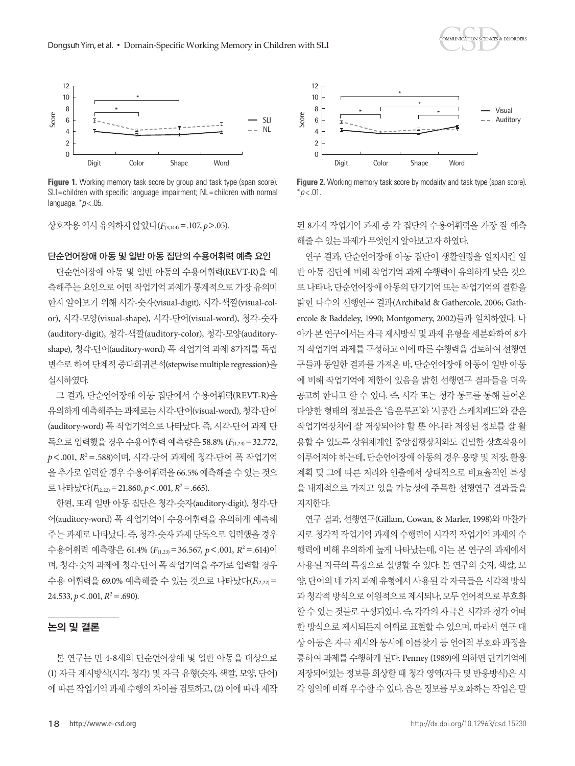



Figure 1. Working memory task score by group and task type (span score). SLI= children with specific language impairment; NL= children with normal language. \**p* < .05.

상호작용역시유의하지않았다(*F*(3,144)=.107, *p*>.05).

#### 단순언어장애 아동 및 일반 아동 집단의 수용어휘력 예측 요인

단순언어장애 아동 및 일반 아동의 수용어휘력(REVT-R)을 예 측해주는 요인으로 어떤 작업기억 과제가 통계적으로 가장 유의미 한지 알아보기 위해 시각-숫자(visual-digit), 시각-색깔(visual-color), 시각-모양(visual-shape), 시각-단어(visual-word), 청각-숫자 (auditory-digit), 청각-색깔(auditory-color), 청각-모양(auditoryshape), 청각-단어(auditory-word) 폭 작업기억 과제 8가지를 독립 변수로 하여 단계적 중다회귀분석(stepwise multiple regression)을 실시하였다.

그 결과, 단순언어장애 아동 집단에서 수용어휘력(REVT-R)을 유의하게 예측해주는 과제로는 시각-단어(visual-word), 청각-단어 (auditory-word) 폭 작업기억으로 나타났다. 즉, 시각-단어 과제 단 독으로 입력했을 경우 수용어휘력 예측량은 58.8% (*F*(1,23)=32.772, *p*<.001, *R*<sup>2</sup> =.588)이며, 시각-단어 과제에 청각-단어 폭 작업기억 을 추가로 입력할 경우 수용어휘력을 66.5% 예측해줄 수 있는 것으 로나타났다(*F*(2,22)=21.860, *p*<.001, *R*<sup>2</sup> =.665).

한편, 또래 일반 아동 집단은 청각-숫자(auditory-digit), 청각-단 어(auditory-word) 폭 작업기억이 수용어휘력을 유의하게 예측해 주는 과제로 나타났다. 즉, 청각-숫자 과제 단독으로 입력했을 경우 수용어휘력 예측량은 61.4% ( $F_{(1,23)}$ =36.567,  $p$ <.001,  $R^2$ =.614)이 며, 청각-숫자 과제에 청각-단어 폭 작업기억을 추가로 입력할 경우 수용 어휘력을 69.0% 예측해줄 수 있는 것으로 나타났다(F<sub>(2,22)</sub> =  $24.533, p < .001, R^2 = .690$ ).

#### 논의 및 결론

본 연구는 만 4-8세의 단순언어장애 및 일반 아동을 대상으로 (1) 자극 제시방식(시각, 청각) 및 자극 유형(숫자, 색깔, 모양, 단어) 에 따른 작업기억 과제 수행의 차이를 검토하고, (2) 이에 따라 제작



**Figure 2.** Working memory task score by modality and task type (span score).  $*p$  < .01.

된 8가지 작업기억 과제 중 각 집단의 수용어휘력을 가장 잘 예측 해줄수있는과제가무엇인지알아보고자하였다.

연구 결과, 단순언어장애 아동 집단이 생활연령을 일치시킨 일 반 아동 집단에 비해 작업기억 과제 수행력이 유의하게 낮은 것으 로 나타나, 단순언어장애 아동의 단기기억 또는 작업기억의 결함을 밝힌 다수의 선행연구 결과(Archibald & Gathercole, 2006; Gathercole & Baddeley, 1990; Montgomery, 2002)들과 일치하였다. 나 아가 본 연구에서는 자극 제시방식 및 과제 유형을 세분화하여 8가 지 작업기억 과제를 구성하고 이에 따른 수행력을 검토하여 선행연 구들과 동일한 결과를 가져온 바, 단순언어장애 아동이 일반 아동 에 비해 작업기억에 제한이 있음을 밝힌 선행연구 결과들을 더욱 공고히 한다고 할 수 있다. 즉, 시각 또는 청각 통로를 통해 들어온 다양한 형태의 정보들은 '음운루프'와 '시공간 스케치패드'와 같은 작업기억장치에 잘 저장되어야 할 뿐 아니라 저장된 정보를 잘 활 용할 수 있도록 상위체계인 중앙집행장치와도 긴밀한 상호작용이 이루어져야 하는데, 단순언어장애 아동의 경우 용량 및 저장, 활용 계획 및 그에 따른 처리와 인출에서 상대적으로 비효율적인 특성 을 내재적으로 가지고 있을 가능성에 주목한 선행연구 결과들을 지지한다.

연구 결과, 선행연구(Gillam, Cowan, & Marler, 1998)와 마찬가 지로 청각적 작업기억 과제의 수행력이 시각적 작업기억 과제의 수 행력에 비해 유의하게 높게 나타났는데, 이는 본 연구의 과제에서 사용된 자극의 특징으로 설명할 수 있다. 본 연구의 숫자, 색깔, 모 양, 단어의 네 가지 과제 유형에서 사용된 각 자극들은 시각적 방식 과 청각적 방식으로 이원적으로 제시되나, 모두 언어적으로 부호화 할 수 있는 것들로 구성되었다. 즉, 각각의 자극은 시각과 청각 어떠 한 방식으로 제시되든지 어휘로 표현할 수 있으며, 따라서 연구 대 상 아동은 자극 제시와 동시에 이름찾기 등 언어적 부호화 과정을 통하여 과제를 수행하게 된다. Penney (1989)에 의하면 단기기억에 저장되어있는 정보를 회상할 때 청각 영역(자극 및 반응방식)은 시 각 영역에 비해 우수할 수 있다. 음운 정보를 부호화하는 작업은 말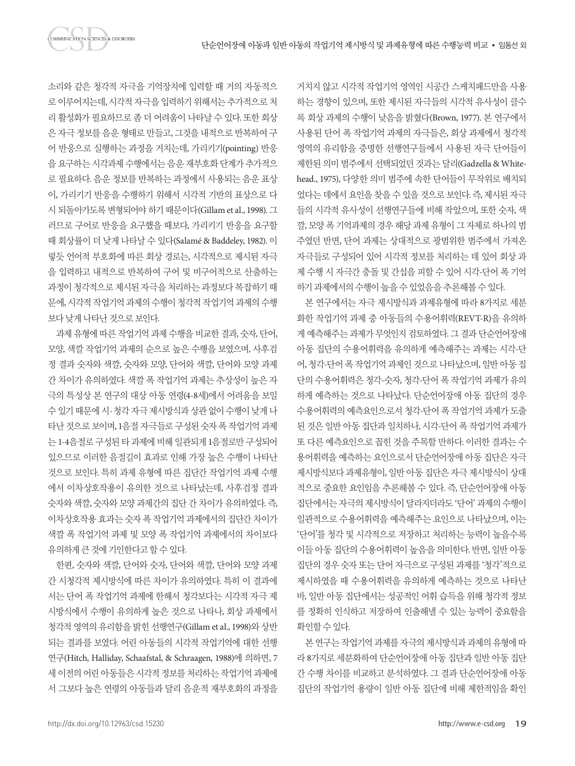소리와 같은 청각적 자극을 기억장치에 입력할 때 거의 자동적으 로 이루어지는데, 시각적 자극을 입력하기 위해서는 추가적으로 처 리 활성화가 필요하므로 좀 더 어려움이 나타날 수 있다. 또한 회상 은 자극 정보를 음운 형태로 만들고, 그것을 내적으로 반복하여 구 어 반응으로 실행하는 과정을 거치는데, 가리키기(pointing) 반응 을 요구하는 시각과제 수행에서는 음운 재부호화 단계가 추가적으 로 필요하다. 음운 정보를 반복하는 과정에서 사용되는 음운 표상 이, 가리키기 반응을 수행하기 위해서 시각적 기반의 표상으로 다 시 되돌아가도록 변형되어야 하기 때문이다(Gillam et al., 1998). 그 러므로 구어로 반응을 요구했을 때보다, 가리키기 반응을 요구할 때 회상률이 더 낮게 나타날 수 있다(Salamé & Baddeley, 1982). 이 렇듯 언어적 부호화에 따른 회상 경로는, 시각적으로 제시된 자극 을 입력하고 내적으로 반복하여 구어 및 비구어적으로 산출하는 과정이 청각적으로 제시된 자극을 처리하는 과정보다 복잡하기 때 문에, 시각적 작업기억 과제의 수행이 청각적 작업기억 과제의 수행 보다낮게나타난것으로보인다.

과제 유형에 따른 작업기억 과제 수행을 비교한 결과, 숫자, 단어, 모양, 색깔 작업기억 과제의 순으로 높은 수행을 보였으며, 사후검 정 결과 숫자와 색깔, 숫자와 모양, 단어와 색깔, 단어와 모양 과제 간 차이가 유의하였다. 색깔 폭 작업기억 과제는 추상성이 높은 자 극의 특성상 본 연구의 대상 아동 연령(4-8세)에서 어려움을 보일 수 있기때문에 시·청각자극 제시방식과상관없이 수행이낮게 나 타난 것으로 보이며, 1음절 자극들로 구성된 숫자 폭 작업기억 과제 는 1-4음절로 구성된 타 과제에 비해 일관되게 1음절로만 구성되어 있으므로 이러한 음절길이 효과로 인해 가장 높은 수행이 나타난 것으로 보인다. 특히 과제 유형에 따른 집단간 작업기억 과제 수행 에서 이차상호작용이 유의한 것으로 나타났는데, 사후검정 결과 숫자와 색깔, 숫자와 모양 과제간의 집단 간 차이가 유의하였다. 즉, 이차상호작용 효과는 숫자 폭 작업기억 과제에서의 집단간 차이가 색깔 폭 작업기억 과제 및 모양 폭 작업기억 과제에서의 차이보다 유의하게큰것에기인한다고할수있다.

한편, 숫자와 색깔, 단어와 숫자, 단어와 색깔, 단어와 모양 과제 간 시청각적 제시방식에 따른 차이가 유의하였다. 특히 이 결과에 서는 단어 폭 작업기억 과제에 한해서 청각보다는 시각적 자극 제 시방식에서 수행이 유의하게 높은 것으로 나타나, 회상 과제에서 청각적 영역의 유리함을 밝힌 선행연구(Gillam et al., 1998)와 상반 되는 결과를 보였다. 어린 아동들의 시각적 작업기억에 대한 선행 연구(Hitch, Halliday, Schaafstal, & Schraagen, 1988)에 의하면, 7 세 이전의 어린 아동들은 시각적 정보를 처리하는 작업기억 과제에 서 그보다 높은 연령의 아동들과 달리 음운적 재부호화의 과정을 거치지 않고 시각적 작업기억 영역인 시공간 스케치패드만을 사용 하는 경향이 있으며, 또한 제시된 자극들의 시각적 유사성이 클수 록 회상 과제의 수행이 낮음을 밝혔다(Brown, 1977). 본 연구에서 사용된 단어 폭 작업기억 과제의 자극들은, 회상 과제에서 청각적 영역의 유리함을 증명한 선행연구들에서 사용된 자극 단어들이 제한된 의미 범주에서 선택되었던 것과는 달리(Gadzella & Whitehead., 1975), 다양한 의미 범주에 속한 단어들이 무작위로 배치되 었다는 데에서 요인을 찾을 수 있을 것으로 보인다. 즉, 제시된 자극 들의 시각적 유사성이 선행연구들에 비해 작았으며, 또한 숫자, 색 깔, 모양 폭 기억과제의 경우 해당 과제 유형이 그 자체로 하나의 범 주였던 반면, 단어 과제는 상대적으로 광범위한 범주에서 가져온 자극들로 구성되어 있어 시각적 정보를 처리하는 데 있어 회상 과 제 수행 시 자극간 충돌 및 간섭을 피할 수 있어 시각-단어 폭 기억 하기과제에서의수행이높을수있었음을추론해볼수있다.

본 연구에서는 자극 제시방식과 과제유형에 따라 8가지로 세분 화한 작업기억 과제 중 아동들의 수용어휘력(REVT-R)을 유의하 게 예측해주는 과제가 무엇인지 검토하였다. 그 결과 단순언어장애 아동 집단의 수용어휘력을 유의하게 예측해주는 과제는 시각-단 어, 청각-단어 폭 작업기억 과제인 것으로 나타났으며, 일반 아동 집 단의 수용어휘력은 청각-숫자, 청각-단어 폭 작업기억 과제가 유의 하게 예측하는 것으로 나타났다. 단순언어장애 아동 집단의 경우 수용어휘력의 예측요인으로서 청각-단어 폭 작업기억 과제가 도출 된 것은 일반 아동 집단과 일치하나, 시각-단어 폭 작업기억 과제가 또 다른 예측요인으로 꼽힌 것을 주목할 만하다. 이러한 결과는 수 용어휘력을 예측하는 요인으로서 단순언어장애 아동 집단은 자극 제시방식보다 과제유형이, 일반 아동 집단은 자극 제시방식이 상대 적으로 중요한 요인임을 추론해볼 수 있다. 즉, 단순언어장애 아동 집단에서는 자극의 제시방식이 달라지더라도 '단어'과제의 수행이 일관적으로 수용어휘력을 예측해주는 요인으로 나타났으며, 이는 '단어'를 청각 및 시각적으로 저장하고 처리하는 능력이 높을수록 이들 아동 집단의 수용어휘력이 높음을 의미한다. 반면, 일반 아동 집단의 경우 숫자 또는 단어 자극으로 구성된 과제를 '청각'적으로 제시하였을 때 수용어휘력을 유의하게 예측하는 것으로 나타난 바, 일반 아동 집단에서는 성공적인 어휘 습득을 위해 청각적 정보 를 정확히 인식하고 저장하여 인출해낼 수 있는 능력이 중요함을 확인할수있다.

본 연구는 작업기억 과제를 자극의 제시방식과 과제의 유형에 따 라 8가지로 세분화하여 단순언어장애 아동 집단과 일반 아동 집단 간 수행 차이를 비교하고 분석하였다. 그 결과 단순언어장애 아동 집단의 작업기억 용량이 일반 아동 집단에 비해 제한적임을 확인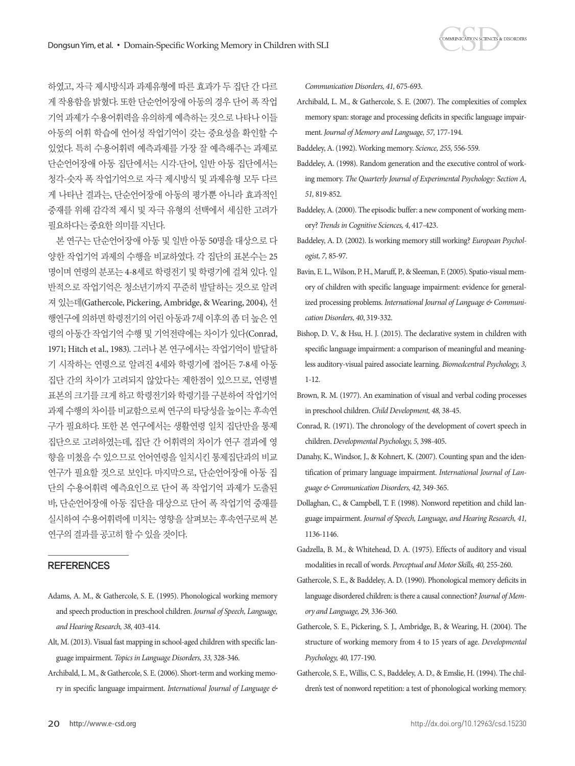

하였고, 자극 제시방식과 과제유형에 따른 효과가 두 집단 간 다르 게 작용함을 밝혔다. 또한 단순언어장애 아동의 경우 단어 폭 작업 기억 과제가 수용어휘력을 유의하게 예측하는 것으로 나타나 이들 아동의 어휘 학습에 언어성 작업기억이 갖는 중요성을 확인할 수 있었다. 특히 수용어휘력 예측과제를 가장 잘 예측해주는 과제로 단순언어장애 아동 집단에서는 시각-단어, 일반 아동 집단에서는 청각-숫자 폭 작업기억으로 자극 제시방식 및 과제유형 모두 다르 게 나타난 결과는, 단순언어장애 아동의 평가뿐 아니라 효과적인 중재를 위해 감각적 제시 및 자극 유형의 선택에서 세심한 고려가 필요하다는 중요한 의미를 지닌다.

본 연구는 단순언어장애 아동 및 일반 아동 50명을 대상으로 다 양한 작업기억 과제의 수행을 비교하였다. 각 집단의 표본수는 25 명이며 연령의 분포는 4-8세로 학령전기 및 학령기에 걸쳐 있다. 일 반적으로 작업기억은 청소년기까지 꾸준히 발달하는 것으로 알려 져 있는데(Gathercole, Pickering, Ambridge, & Wearing, 2004), 선 행연구에 의하면 학령전기의 어린 아동과 7세 이후의 좀 더 높은 연 령의 아동간 작업기억 수행 및 기억전략에는 차이가 있다(Conrad, 1971; Hitch et al., 1983). 그러나 본 연구에서는 작업기억이 발달하 기 시작하는 연령으로 알려진 4세와 학령기에 접어든 7-8세 아동 집단 간의 차이가 고려되지 않았다는 제한점이 있으므로, 연령별 표본의 크기를 크게 하고 학령전기와 학령기를 구분하여 작업기억 과제 수행의 차이를 비교함으로써 연구의 타당성을 높이는 후속연 구가 필요하다. 또한 본 연구에서는 생활연령 일치 집단만을 통제 집단으로 고려하였는데, 집단 간 어휘력의 차이가 연구 결과에 영 향을 미쳤을 수 있으므로 언어연령을 일치시킨 통제집단과의 비교 연구가 필요할 것으로 보인다. 마지막으로, 단순언어장애 아동 집 단의 수용어휘력 예측요인으로 단어 폭 작업기억 과제가 도출된 바, 단순언어장애 아동 집단을 대상으로 단어 폭 작업기억 중재를 실시하여 수용어휘력에 미치는 영향을 살펴보는 후속연구로써 본 연구의 결과를 공고히 할 수 있을 것이다.

#### **REFERENCES**

- Adams, A. M., & Gathercole, S. E. (1995). Phonological working memory and speech production in preschool children. *Journal of Speech, Language, and Hearing Research, 38,* 403-414.
- Alt, M. (2013). Visual fast mapping in school-aged children with specific language impairment. *Topics in Language Disorders, 33,* 328-346.
- Archibald, L. M., & Gathercole, S. E. (2006). Short-term and working memory in specific language impairment. *International Journal of Language &*

*Communication Disorders, 41,* 675-693.

- Archibald, L. M., & Gathercole, S. E. (2007). The complexities of complex memory span: storage and processing deficits in specific language impairment. *Journal of Memory and Language, 57,* 177-194.
- Baddeley, A. (1992). Working memory. *Science, 255,* 556-559.
- Baddeley, A. (1998). Random generation and the executive control of working memory. *The Quarterly Journal of Experimental Psychology: Section A, 51,* 819-852.
- Baddeley, A. (2000). The episodic buffer: a new component of working memory? *Trends in Cognitive Sciences, 4,* 417-423.
- Baddeley, A. D. (2002). Is working memory still working? *European Psychologist, 7,* 85-97.
- Bavin, E. L., Wilson, P. H., Maruff, P., & Sleeman, F. (2005). Spatio-visual memory of children with specific language impairment: evidence for generalized processing problems. *International Journal of Language & Communication Disorders, 40*, 319-332.
- Bishop, D. V., & Hsu, H. J. (2015). The declarative system in children with specific language impairment: a comparison of meaningful and meaningless auditory-visual paired associate learning. *Biomedcentral Psychology, 3,* 1-12.
- Brown, R. M. (1977). An examination of visual and verbal coding processes in preschool children. *Child Development, 48,* 38-45.
- Conrad, R. (1971). The chronology of the development of covert speech in children. *Developmental Psychology, 5,* 398-405.
- Danahy, K., Windsor, J., & Kohnert, K. (2007). Counting span and the identification of primary language impairment. *International Journal of Language & Communication Disorders, 42,* 349-365.
- Dollaghan, C., & Campbell, T. F. (1998). Nonword repetition and child language impairment. *Journal of Speech, Language, and Hearing Research, 41,*  1136-1146.
- Gadzella, B. M., & Whitehead, D. A. (1975). Effects of auditory and visual modalities in recall of words. *Perceptual and Motor Skills, 40,* 255-260.
- Gathercole, S. E., & Baddeley, A. D. (1990). Phonological memory deficits in language disordered children: is there a causal connection? *Journal of Memory and Language, 29,* 336-360.
- Gathercole, S. E., Pickering, S. J., Ambridge, B., & Wearing, H. (2004). The structure of working memory from 4 to 15 years of age. *Developmental Psychology, 40,* 177-190.
- Gathercole, S. E., Willis, C. S., Baddeley, A. D., & Emslie, H. (1994). The children's test of nonword repetition: a test of phonological working memory.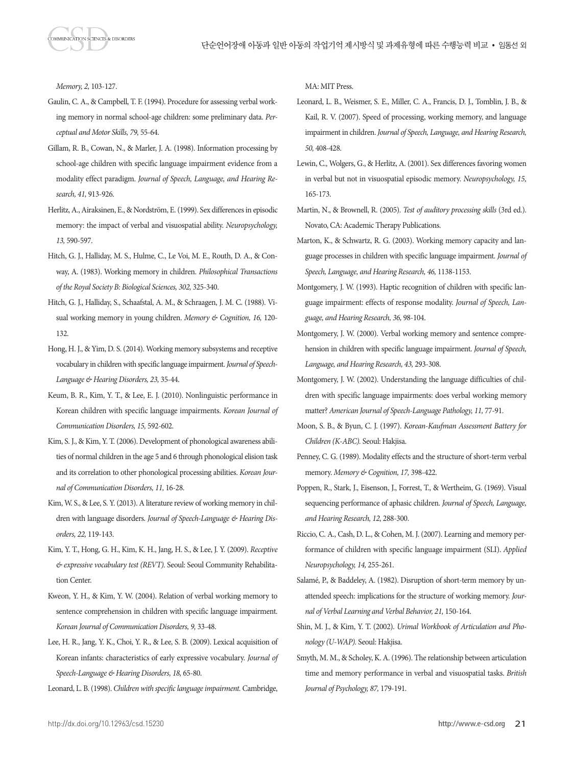*Memory, 2,* 103-127.

- Gaulin, C. A., & Campbell, T. F. (1994). Procedure for assessing verbal working memory in normal school-age children: some preliminary data. *Perceptual and Motor Skills, 79,* 55-64.
- Gillam, R. B., Cowan, N., & Marler, J. A. (1998). Information processing by school-age children with specific language impairment evidence from a modality effect paradigm. *Journal of Speech, Language, and Hearing Research, 41,* 913-926.
- Herlitz, A., Airaksinen, E., & Nordström, E. (1999). Sex differences in episodic memory: the impact of verbal and visuospatial ability. *Neuropsychology, 13,* 590-597.
- Hitch, G. J., Halliday, M. S., Hulme, C., Le Voi, M. E., Routh, D. A., & Conway, A. (1983). Working memory in children. *Philosophical Transactions of the Royal Society B: Biological Sciences, 302,* 325-340.
- Hitch, G. J., Halliday, S., Schaafstal, A. M., & Schraagen, J. M. C. (1988). Visual working memory in young children. *Memory & Cognition, 16,* 120- 132.
- Hong, H. J., & Yim, D. S. (2014). Working memory subsystems and receptive vocabulary in children with specific language impairment. *Journal of Speech-Language & Hearing Disorders, 23,* 35-44.
- Keum, B. R., Kim, Y. T., & Lee, E. J. (2010). Nonlinguistic performance in Korean children with specific language impairments. *Korean Journal of Communication Disorders, 15,* 592-602.
- Kim, S. J., & Kim, Y. T. (2006). Development of phonological awareness abilities of normal children in the age 5 and 6 through phonological elision task and its correlation to other phonological processing abilities. *Korean Journal of Communication Disorders, 11,* 16-28.
- Kim, W. S., & Lee, S. Y. (2013). A literature review of working memory in children with language disorders. *Journal of Speech-Language & Hearing Disorders, 22,* 119-143.
- Kim, Y. T., Hong, G. H., Kim, K. H., Jang, H. S., & Lee, J. Y. (2009). *Receptive & expressive vocabulary test (REVT).* Seoul: Seoul Community Rehabilitation Center.
- Kweon, Y. H., & Kim, Y. W. (2004). Relation of verbal working memory to sentence comprehension in children with specific language impairment. *Korean Journal of Communication Disorders, 9,* 33-48.
- Lee, H. R., Jang, Y. K., Choi, Y. R., & Lee, S. B. (2009). Lexical acquisition of Korean infants: characteristics of early expressive vocabulary. *Journal of Speech-Language & Hearing Disorders, 18,* 65-80.
- Leonard, L. B. (1998). *Children with specific language impairment.* Cambridge,

MA: MIT Press.

- Leonard, L. B., Weismer, S. E., Miller, C. A., Francis, D. J., Tomblin, J. B., & Kail, R. V. (2007). Speed of processing, working memory, and language impairment in children. *Journal of Speech, Language, and Hearing Research, 50,* 408-428.
- Lewin, C., Wolgers, G., & Herlitz, A. (2001). Sex differences favoring women in verbal but not in visuospatial episodic memory. *Neuropsychology, 15,* 165-173.
- Martin, N., & Brownell, R. (2005). *Test of auditory processing skills* (3rd ed.). Novato, CA: Academic Therapy Publications.
- Marton, K., & Schwartz, R. G. (2003). Working memory capacity and language processes in children with specific language impairment. *Journal of Speech, Language, and Hearing Research, 46,* 1138-1153.
- Montgomery, J. W. (1993). Haptic recognition of children with specific language impairment: effects of response modality. *Journal of Speech, Language, and Hearing Research, 36,* 98-104.
- Montgomery, J. W. (2000). Verbal working memory and sentence comprehension in children with specific language impairment. *Journal of Speech, Language, and Hearing Research, 43,* 293-308.
- Montgomery, J. W. (2002). Understanding the language difficulties of children with specific language impairments: does verbal working memory matter? *American Journal of Speech-Language Pathology, 11,* 77-91.
- Moon, S. B., & Byun, C. J. (1997). *Korean-Kaufman Assessment Battery for Children (K-ABC).* Seoul: Hakjisa.
- Penney, C. G. (1989). Modality effects and the structure of short-term verbal memory. *Memory & Cognition, 17,* 398-422.
- Poppen, R., Stark, J., Eisenson, J., Forrest, T., & Wertheim, G. (1969). Visual sequencing performance of aphasic children. *Journal of Speech, Language, and Hearing Research, 12,* 288-300.
- Riccio, C. A., Cash, D. L., & Cohen, M. J. (2007). Learning and memory performance of children with specific language impairment (SLI). *Applied Neuropsychology, 14,* 255-261.
- Salamé, P., & Baddeley, A. (1982). Disruption of short-term memory by unattended speech: implications for the structure of working memory. *Journal of Verbal Learning and Verbal Behavior, 21,* 150-164.
- Shin, M. J., & Kim, Y. T. (2002). *Urimal Workbook of Articulation and Phonology (U-WAP).* Seoul: Hakjisa.
- Smyth, M. M., & Scholey, K. A. (1996). The relationship between articulation time and memory performance in verbal and visuospatial tasks. *British Journal of Psychology, 87,* 179-191.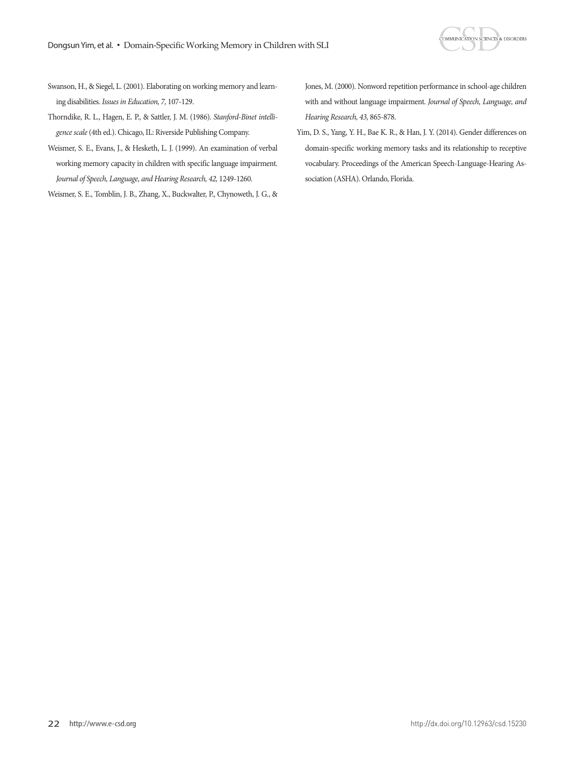

- Swanson, H., & Siegel, L. (2001). Elaborating on working memory and learning disabilities. *Issues in Education, 7,* 107-129.
- Thorndike, R. L., Hagen, E. P., & Sattler, J. M. (1986). *Stanford-Binet intelligence scale* (4th ed.). Chicago, IL: Riverside Publishing Company.
- Weismer, S. E., Evans, J., & Hesketh, L. J. (1999). An examination of verbal working memory capacity in children with specific language impairment. *Journal of Speech, Language, and Hearing Research, 42,* 1249-1260.

Weismer, S. E., Tomblin, J. B., Zhang, X., Buckwalter, P., Chynoweth, J. G., &

Jones, M. (2000). Nonword repetition performance in school-age children with and without language impairment. *Journal of Speech, Language, and Hearing Research, 43,* 865-878.

Yim, D. S., Yang, Y. H., Bae K. R., & Han, J. Y. (2014). Gender differences on domain-specific working memory tasks and its relationship to receptive vocabulary. Proceedings of the American Speech-Language-Hearing Association (ASHA). Orlando, Florida.